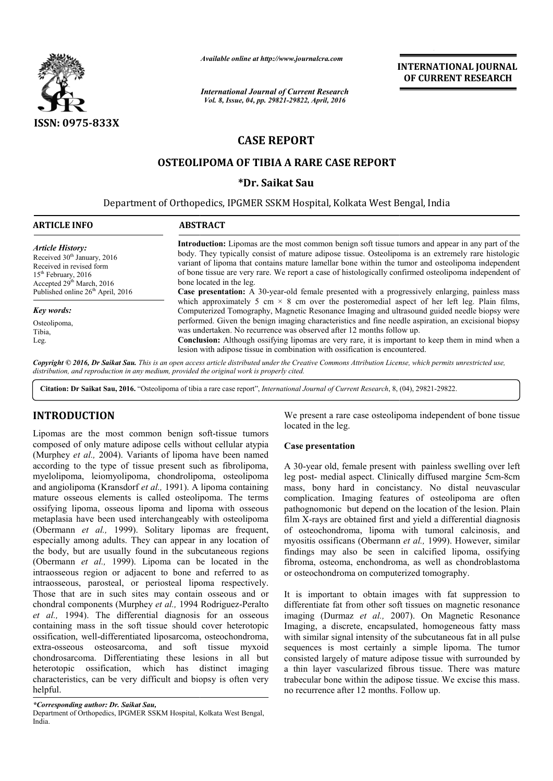

*Available online at http://www.journalcra.com*

*International Journal of Current Research Vol. 8, Issue, 04, pp. 29821-29822, April, 2016*

**INTERNATIONAL JOURNAL OF CURRENT RESEARCH** 

## **CASE REPORT**

# **OSTEOLIPOMA OF TIBIA A RARE CASE REPORT STEOLIPOMA \*Dr. Saikat Sau**

Department of Orthopedics, IPGMER SSKM Hospital, Kolkata West Bengal, India

| <b>ARTICLE INFO</b>                                                                                                                                                                                      | <b>ABSTRACT</b>                                                                                                                                                                                                                                                                                                                                                                                                                                                                                                                                                                                                                                                                                                                                                                                                                                                                                                                                                                                                                                                                                                                               |
|----------------------------------------------------------------------------------------------------------------------------------------------------------------------------------------------------------|-----------------------------------------------------------------------------------------------------------------------------------------------------------------------------------------------------------------------------------------------------------------------------------------------------------------------------------------------------------------------------------------------------------------------------------------------------------------------------------------------------------------------------------------------------------------------------------------------------------------------------------------------------------------------------------------------------------------------------------------------------------------------------------------------------------------------------------------------------------------------------------------------------------------------------------------------------------------------------------------------------------------------------------------------------------------------------------------------------------------------------------------------|
| <b>Article History:</b><br>Received 30 <sup>th</sup> January, 2016<br>Received in revised form<br>$15th$ February, 2016<br>Accepted $29th March$ , 2016<br>Published online 26 <sup>th</sup> April, 2016 | <b>Introduction:</b> Lipomas are the most common benign soft tissue tumors and appear in any part of the<br>body. They typically consist of mature adipose tissue. Osteolipoma is an extremely rare histologic<br>variant of lipoma that contains mature lamellar bone within the tumor and osteolipoma independent<br>of bone tissue are very rare. We report a case of histologically confirmed osteolipoma independent of<br>bone located in the leg.<br><b>Case presentation:</b> A 30-year-old female presented with a progressively enlarging, painless mass<br>which approximately 5 cm $\times$ 8 cm over the posteromedial aspect of her left leg. Plain films,<br>Computerized Tomography, Magnetic Resonance Imaging and ultrasound guided needle biopsy were<br>performed. Given the benign imaging characteristics and fine needle aspiration, an excisional biopsy<br>was undertaken. No recurrence was observed after 12 months follow up.<br>Conclusion: Although ossifying lipomas are very rare, it is important to keep them in mind when a<br>lesion with adipose tissue in combination with ossification is encountered. |
| Key words:                                                                                                                                                                                               |                                                                                                                                                                                                                                                                                                                                                                                                                                                                                                                                                                                                                                                                                                                                                                                                                                                                                                                                                                                                                                                                                                                                               |
| Osteolipoma,<br>Tibia,<br>Leg.                                                                                                                                                                           |                                                                                                                                                                                                                                                                                                                                                                                                                                                                                                                                                                                                                                                                                                                                                                                                                                                                                                                                                                                                                                                                                                                                               |

Copyright © 2016, Dr Saikat Sau. This is an open access article distributed under the Creative Commons Attribution License, which permits unrestricted use, *distribution, and reproduction in any medium, provided the original work is properly cited.*

Citation: Dr Saikat Sau, 2016. "Osteolipoma of tibia a rare case report", *International Journal of Current Research*, 8, (04), 29821-29822.

### **INTRODUCTION**

Lipomas are the most common benign soft-tissue tumors composed of only mature adipose cells without cellular atypia (Murphey *et al.,* 2004). Variants of lipoma have been named according to the type of tissue present such as fibrolipoma, myelolipoma, leiomyolipoma, chondrolipoma, osteolipoma and angiolipoma (Kransdorf *et al.,* 1991). A lipoma containing mature osseous elements is called osteolipoma. The terms ossifying lipoma, osseous lipoma and lipoma with osseous metaplasia have been used interchangeably with osteolipoma (Obermann *et al.,* 1999). Solitary lipomas are frequent, especially among adults. They can appear in any location of the body, but are usually found in the subcutaneous regions (Obermann *et al.,* 1999). Lipoma can be located in the intraosseous region or adjacent to bone and referred to as intraosseous, parosteal, or periosteal lipoma respectively. Those that are in such sites may contain osseous and or chondral components (Murphey *et al.,* 1994 Rodriguez-Peralto *et al.,* 1994). The differential diagnosis for an osseous containing mass in the soft tissue should cover heterotopic ossification, well-differentiated liposarcoma, osteochondroma, extra-osseous osteosarcoma, and soft tissue myxoid chondrosarcoma. Differentiating these lesions in all but heterotopic ossification, which has distinct imaging characteristics, can be very difficult and biopsy is often very helpful. **ITRODUCTION**<br>
We present a rare case osteolipoma independent of bone tissue<br>proposar or the most common benign soft-issue tumos<br>
Imposed of only mature adipose cells without cellular atypia<br>
Imposed of only mature adipos

located in the leg. We present a rare case osteolipoma independent of bone tissue<br>located in the leg.<br>Case presentation<br>A 30-year old, female present with painless swelling over left

#### **Case presentation**

leg post- medial aspect. Clinically diffused margine 5cm-8cm mass, bony hard in concistancy. No distal neuvascular complication. Imaging features of osteolipoma are often pathognomonic but depend on the location of the lesion. Plain film X-rays are obtained first and yield a differential diagnosis of osteochondroma, lipoma with tumoral calcinosis, and film X-rays are obtained first and yield a differential diagnosis of osteochondroma, lipoma with tumoral calcinosis, and myositis ossificans (Obermann *et al.*, 1999). However, similar findings may also be seen in calcified lipoma, ossifying fibroma, osteoma, enchondroma, as well as chondroblastoma or osteochondroma on computerized tomography.

It is important to obtain images with fat suppression to differentiate fat from other soft tissues on magnetic resonance fibroma, osteoma, enchondroma, as well as chondroblastoma<br>or osteochondroma on computerized tomography.<br>It is important to obtain images with fat suppression to<br>differentiate fat from other soft tissues on magnetic resonan Imaging, a discrete, encapsulated, homogeneous fatty mass with similar signal intensity of the subcutaneous fat in all pulse sequences is most certainly a simple lipoma. The tumor consisted largely of mature adipose tissue with surrounded by a thin layer vascularized fibrous tissue. There was mature a thin layer vascularized fibrous tissue. There was mature trabecular bone within the adipose tissue. We excise this mass. no recurrence after 12 months. Follow up. encapsulated, homogeneous fatty mass<br>tensity of the subcutaneous fat in all pulse<br>certainly a simple lipoma. The tumor

*<sup>\*</sup>Corresponding author: Dr. Saikat Sau,*

Department of Orthopedics, IPGMER SSKM Hospital, Kolkata West Bengal, India.